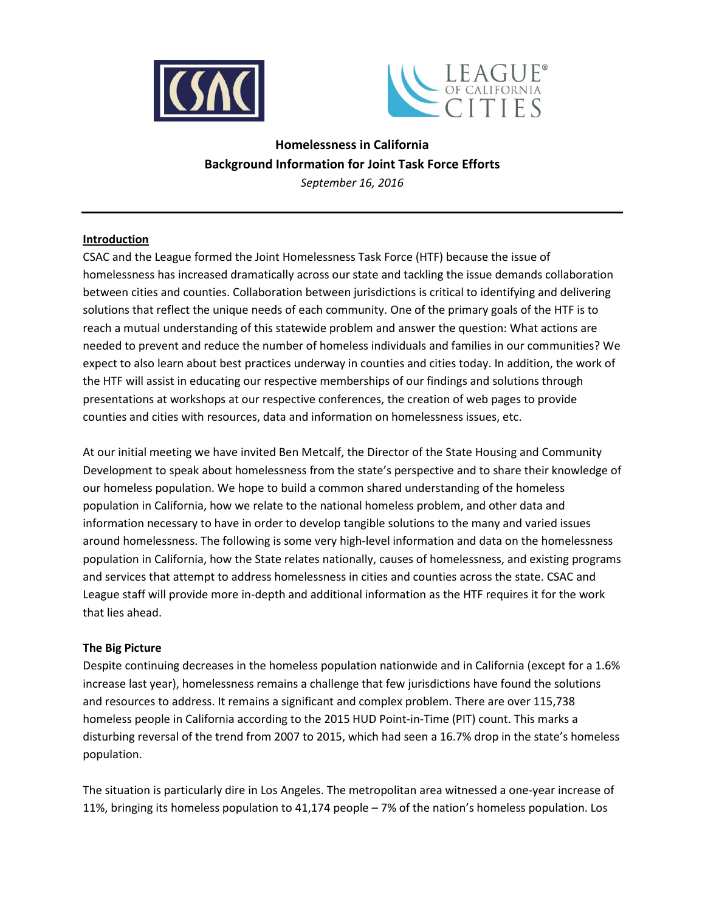



# **Homelessness in California Background Information for Joint Task Force Efforts**

*September 16, 2016*

# **Introduction**

CSAC and the League formed the Joint Homelessness Task Force (HTF) because the issue of homelessness has increased dramatically across our state and tackling the issue demands collaboration between cities and counties. Collaboration between jurisdictions is critical to identifying and delivering solutions that reflect the unique needs of each community. One of the primary goals of the HTF is to reach a mutual understanding of this statewide problem and answer the question: What actions are needed to prevent and reduce the number of homeless individuals and families in our communities? We expect to also learn about best practices underway in counties and cities today. In addition, the work of the HTF will assist in educating our respective memberships of our findings and solutions through presentations at workshops at our respective conferences, the creation of web pages to provide counties and cities with resources, data and information on homelessness issues, etc.

At our initial meeting we have invited Ben Metcalf, the Director of the State Housing and Community Development to speak about homelessness from the state's perspective and to share their knowledge of our homeless population. We hope to build a common shared understanding of the homeless population in California, how we relate to the national homeless problem, and other data and information necessary to have in order to develop tangible solutions to the many and varied issues around homelessness. The following is some very high-level information and data on the homelessness population in California, how the State relates nationally, causes of homelessness, and existing programs and services that attempt to address homelessness in cities and counties across the state. CSAC and League staff will provide more in-depth and additional information as the HTF requires it for the work that lies ahead.

# **The Big Picture**

Despite continuing decreases in the homeless population nationwide and in California (except for a 1.6% increase last year), homelessness remains a challenge that few jurisdictions have found the solutions and resources to address. It remains a significant and complex problem. There are over 115,738 homeless people in California according to the 2015 HUD Point-in-Time (PIT) count. This marks a disturbing reversal of the trend from 2007 to 2015, which had seen a 16.7% drop in the state's homeless population.

The situation is particularly dire in Los Angeles. The metropolitan area witnessed a one-year increase of 11%, bringing its homeless population to 41,174 people – 7% of the nation's homeless population. Los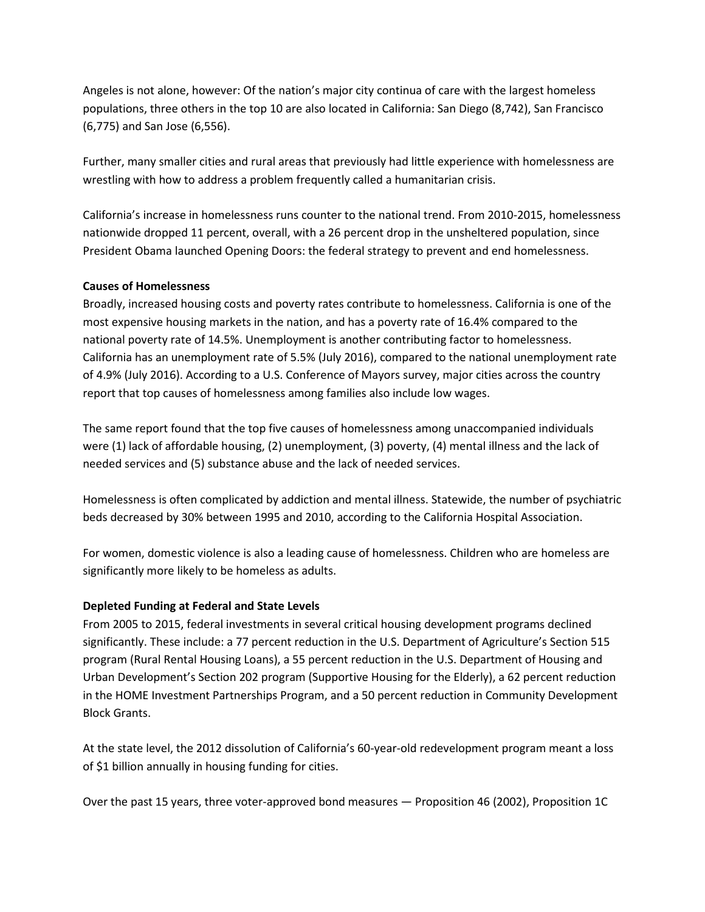Angeles is not alone, however: Of the nation's major city continua of care with the largest homeless populations, three others in the top 10 are also located in California: San Diego (8,742), San Francisco (6,775) and San Jose (6,556).

Further, many smaller cities and rural areas that previously had little experience with homelessness are wrestling with how to address a problem frequently called a humanitarian crisis.

California's increase in homelessness runs counter to the national trend. From 2010-2015, homelessness nationwide dropped 11 percent, overall, with a 26 percent drop in the unsheltered population, since President Obama launched Opening Doors: the federal strategy to prevent and end homelessness.

# **Causes of Homelessness**

Broadly, increased housing costs and poverty rates contribute to homelessness. California is one of the most expensive housing markets in the nation, and has a poverty rate of 16.4% compared to the national poverty rate of 14.5%. Unemployment is another contributing factor to homelessness. California has an unemployment rate of 5.5% (July 2016), compared to the national unemployment rate of 4.9% (July 2016). According to a U.S. Conference of Mayors survey, major cities across the country report that top causes of homelessness among families also include low wages.

The same report found that the top five causes of homelessness among unaccompanied individuals were (1) lack of affordable housing, (2) unemployment, (3) poverty, (4) mental illness and the lack of needed services and (5) substance abuse and the lack of needed services.

Homelessness is often complicated by addiction and mental illness. Statewide, the number of psychiatric beds decreased by 30% between 1995 and 2010, according to the California Hospital Association.

For women, domestic violence is also a leading cause of homelessness. Children who are homeless are significantly more likely to be homeless as adults.

# **Depleted Funding at Federal and State Levels**

From 2005 to 2015, federal investments in several critical housing development programs declined significantly. These include: a 77 percent reduction in the U.S. Department of Agriculture's Section 515 program (Rural Rental Housing Loans), a 55 percent reduction in the U.S. Department of Housing and Urban Development's Section 202 program (Supportive Housing for the Elderly), a 62 percent reduction in the HOME Investment Partnerships Program, and a 50 percent reduction in Community Development Block Grants.

At the state level, the 2012 dissolution of California's 60-year-old redevelopment program meant a loss of \$1 billion annually in housing funding for cities.

Over the past 15 years, three voter-approved bond measures — Proposition 46 (2002), Proposition 1C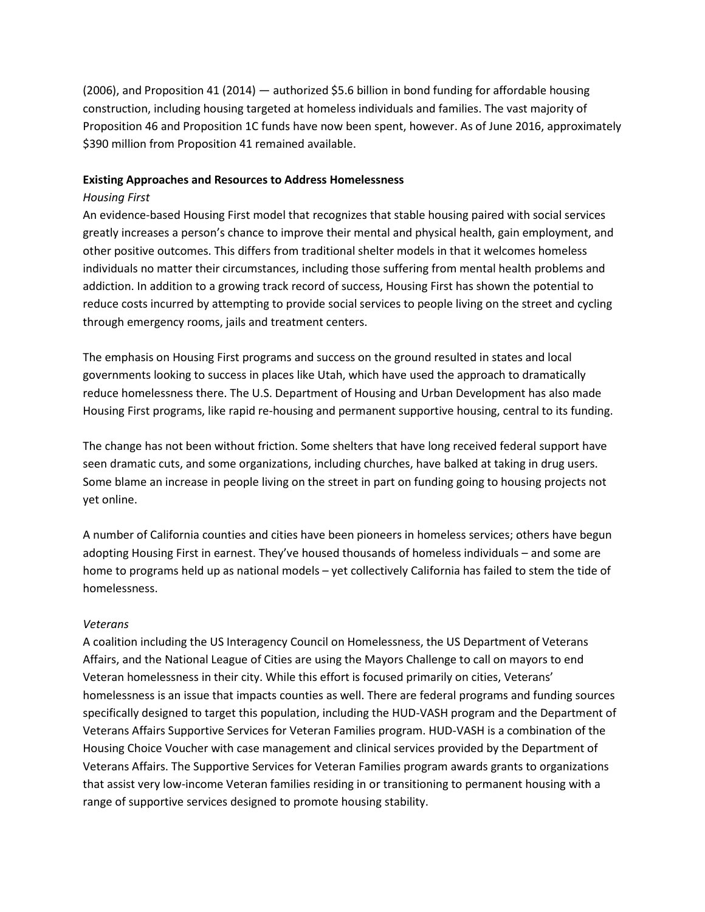(2006), and Proposition 41 (2014) — authorized \$5.6 billion in bond funding for affordable housing construction, including housing targeted at homeless individuals and families. The vast majority of Proposition 46 and Proposition 1C funds have now been spent, however. As of June 2016, approximately \$390 million from Proposition 41 remained available.

#### **Existing Approaches and Resources to Address Homelessness**

### *Housing First*

An evidence-based Housing First model that recognizes that stable housing paired with social services greatly increases a person's chance to improve their mental and physical health, gain employment, and other positive outcomes. This differs from traditional shelter models in that it welcomes homeless individuals no matter their circumstances, including those suffering from mental health problems and addiction. In addition to a growing track record of success, Housing First has shown the potential to reduce costs incurred by attempting to provide social services to people living on the street and cycling through emergency rooms, jails and treatment centers.

The emphasis on Housing First programs and success on the ground resulted in states and local governments looking to success in places like Utah, which have used the approach to dramatically reduce homelessness there. The U.S. Department of Housing and Urban Development has also made Housing First programs, like rapid re-housing and permanent supportive housing, central to its funding.

The change has not been without friction. Some shelters that have long received federal support have seen dramatic cuts, and some organizations, including churches, have balked at taking in drug users. Some blame an increase in people living on the street in part on funding going to housing projects not yet online.

A number of California counties and cities have been pioneers in homeless services; others have begun adopting Housing First in earnest. They've housed thousands of homeless individuals – and some are home to programs held up as national models – yet collectively California has failed to stem the tide of homelessness.

# *Veterans*

A coalition including the US Interagency Council on Homelessness, the US Department of Veterans Affairs, and the National League of Cities are using the Mayors Challenge to call on mayors to end Veteran homelessness in their city. While this effort is focused primarily on cities, Veterans' homelessness is an issue that impacts counties as well. There are federal programs and funding sources specifically designed to target this population, including the HUD-VASH program and the Department of Veterans Affairs Supportive Services for Veteran Families program. HUD-VASH is a combination of the Housing Choice Voucher with case management and clinical services provided by the Department of Veterans Affairs. The Supportive Services for Veteran Families program awards grants to organizations that assist very low-income Veteran families residing in or transitioning to permanent housing with a range of supportive services designed to promote housing stability.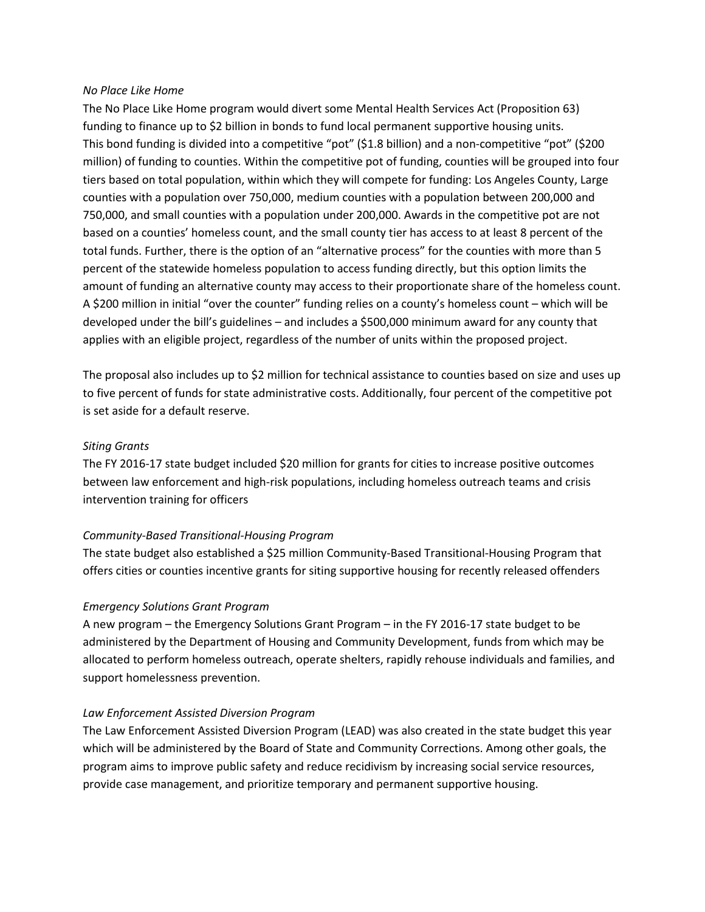#### *No Place Like Home*

The No Place Like Home program would divert some Mental Health Services Act (Proposition 63) funding to finance up to \$2 billion in bonds to fund local permanent supportive housing units. This bond funding is divided into a competitive "pot" (\$1.8 billion) and a non-competitive "pot" (\$200 million) of funding to counties. Within the competitive pot of funding, counties will be grouped into four tiers based on total population, within which they will compete for funding: Los Angeles County, Large counties with a population over 750,000, medium counties with a population between 200,000 and 750,000, and small counties with a population under 200,000. Awards in the competitive pot are not based on a counties' homeless count, and the small county tier has access to at least 8 percent of the total funds. Further, there is the option of an "alternative process" for the counties with more than 5 percent of the statewide homeless population to access funding directly, but this option limits the amount of funding an alternative county may access to their proportionate share of the homeless count. A \$200 million in initial "over the counter" funding relies on a county's homeless count – which will be developed under the bill's guidelines – and includes a \$500,000 minimum award for any county that applies with an eligible project, regardless of the number of units within the proposed project.

The proposal also includes up to \$2 million for technical assistance to counties based on size and uses up to five percent of funds for state administrative costs. Additionally, four percent of the competitive pot is set aside for a default reserve.

# *Siting Grants*

The FY 2016-17 state budget included \$20 million for grants for cities to increase positive outcomes between law enforcement and high-risk populations, including homeless outreach teams and crisis intervention training for officers

# *Community-Based Transitional-Housing Program*

The state budget also established a \$25 million Community-Based Transitional-Housing Program that offers cities or counties incentive grants for siting supportive housing for recently released offenders

# *Emergency Solutions Grant Program*

A new program – the Emergency Solutions Grant Program – in the FY 2016-17 state budget to be administered by the Department of Housing and Community Development, funds from which may be allocated to perform homeless outreach, operate shelters, rapidly rehouse individuals and families, and support homelessness prevention.

# *Law Enforcement Assisted Diversion Program*

The Law Enforcement Assisted Diversion Program (LEAD) was also created in the state budget this year which will be administered by the Board of State and Community Corrections. Among other goals, the program aims to improve public safety and reduce recidivism by increasing social service resources, provide case management, and prioritize temporary and permanent supportive housing.